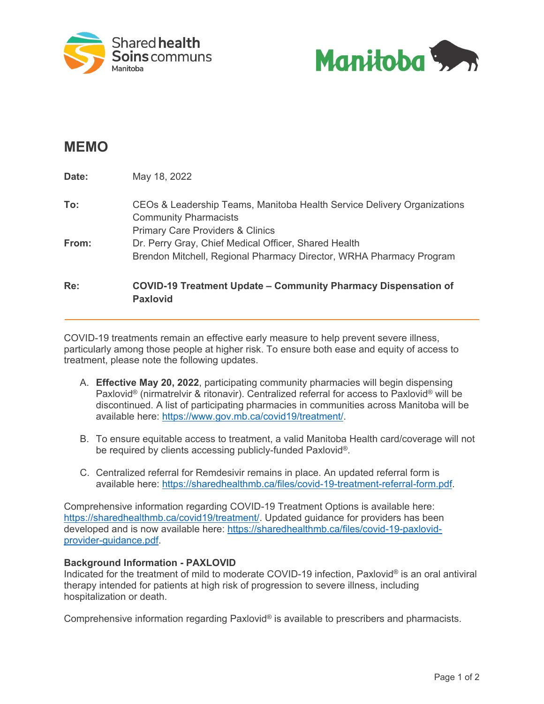



# **MEMO**

| Re:   | <b>COVID-19 Treatment Update – Community Pharmacy Dispensation of</b><br><b>Paxlovid</b>                |
|-------|---------------------------------------------------------------------------------------------------------|
|       | Brendon Mitchell, Regional Pharmacy Director, WRHA Pharmacy Program                                     |
| From: | <b>Primary Care Providers &amp; Clinics</b><br>Dr. Perry Gray, Chief Medical Officer, Shared Health     |
| To:   | CEOs & Leadership Teams, Manitoba Health Service Delivery Organizations<br><b>Community Pharmacists</b> |
| Date: | May 18, 2022                                                                                            |

COVID-19 treatments remain an effective early measure to help prevent severe illness, particularly among those people at higher risk. To ensure both ease and equity of access to treatment, please note the following updates.

- A. **Effective May 20, 2022**, participating community pharmacies will begin dispensing Paxlovid® (nirmatrelvir & ritonavir). Centralized referral for access to Paxlovid® will be discontinued. A list of participating pharmacies in communities across Manitoba will be available here: [https://www.gov.mb.ca/covid19/treatment/.](https://www.gov.mb.ca/covid19/treatment/)
- B. To ensure equitable access to treatment, a valid Manitoba Health card/coverage will not be required by clients accessing publicly-funded Paxlovid®.
- C. Centralized referral for Remdesivir remains in place. An updated referral form is available here: [https://sharedhealthmb.ca/files/covid-19-treatment-referral-form.pdf.](https://sharedhealthmb.ca/files/covid-19-treatment-referral-form.pdf)

Comprehensive information regarding COVID-19 Treatment Options is available here: [https://sharedhealthmb.ca/covid19/treatment/.](https://sharedhealthmb.ca/covid19/treatment/) Updated guidance for providers has been developed and is now available here: [https://sharedhealthmb.ca/files/covid-19-paxlovid](https://sharedhealthmb.ca/files/covid-19-paxlovid-provider-guidance.pdf)[provider-guidance.pdf.](https://sharedhealthmb.ca/files/covid-19-paxlovid-provider-guidance.pdf)

## **Background Information - PAXLOVID**

Indicated for the treatment of mild to moderate COVID-19 infection, Paxlovid® is an oral antiviral therapy intended for patients at high risk of progression to severe illness, including hospitalization or death.

Comprehensive information regarding Paxlovid® is available to prescribers and pharmacists.